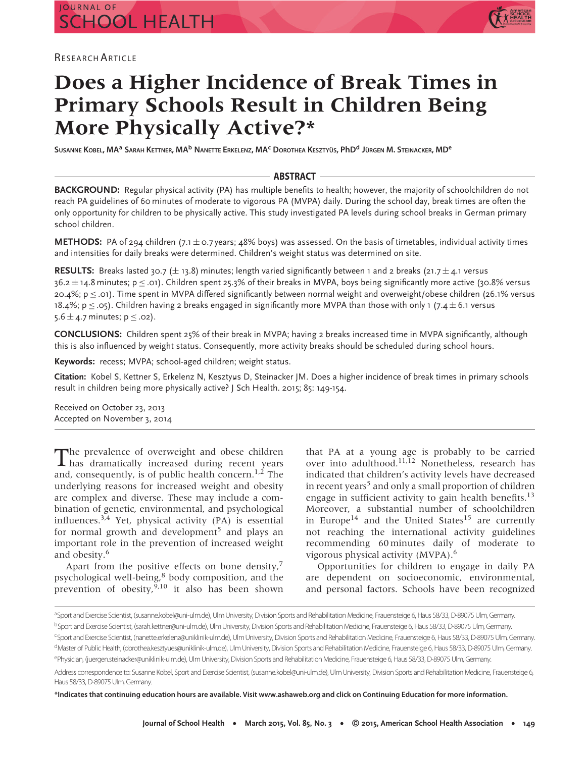## **JOURNAL OF SCHOOL HEALTH**

### RESEARCH ARTICLE

# **Does a Higher Incidence of Break Times in Primary Schools Result in Children Being More Physically Active?\***

**SUSANNE KOBEL, MA<sup>a</sup> SARAH KETTNER, MA<sup>b</sup> NANETTE ERKELENZ, MA<sup>c</sup> DOROTHEA KESZTYUS¨ , PhDd JURGEN ¨ M. STEINACKER, MDe**

#### **ABSTRACT**

**BACKGROUND:** Regular physical activity (PA) has multiple benefits to health; however, the majority of schoolchildren do not reach PA guidelines of 60 minutes of moderate to vigorous PA (MVPA) daily. During the school day, break times are often the only opportunity for children to be physically active. This study investigated PA levels during school breaks in German primary school children.

**METHODS:** PA of 294 children (7.1  $\pm$  0.7 years; 48% boys) was assessed. On the basis of timetables, individual activity times and intensities for daily breaks were determined. Children's weight status was determined on site.

**RESULTS:** Breaks lasted 30.7 ( $\pm$  13.8) minutes; length varied significantly between 1 and 2 breaks (21.7  $\pm$  4.1 versus  $36.2 \pm 14.8$  minutes;  $p \le .01$ ). Children spent 25.3% of their breaks in MVPA, boys being significantly more active (30.8% versus 20.4%; p ≤ .01). Time spent in MVPA differed significantly between normal weight and overweight/obese children (26.1% versus 18.4%;  $p \leq .05$ ). Children having 2 breaks engaged in significantly more MVPA than those with only 1 (7.4  $\pm$  6.1 versus 5.6  $\pm$  4.7 minutes; p  $\le$  .02).

**CONCLUSIONS:** Children spent 25% of their break in MVPA; having 2 breaks increased time in MVPA significantly, although this is also influenced by weight status. Consequently, more activity breaks should be scheduled during school hours.

**Keywords:** recess; MVPA; school-aged children; weight status.

**Citation:** Kobel S, Kettner S, Erkelenz N, Kesztyus D, Steinacker JM. Does a higher incidence of break times in primary schools ¨ result in children being more physically active? J Sch Health. 2015; 85: 149-154.

Received on October 23, 2013 Accepted on November 3, 2014

The prevalence of overweight and obese children<br>has dramatically increased during recent years and, consequently, is of public health concern.<sup>1,2</sup> The underlying reasons for increased weight and obesity are complex and diverse. These may include a combination of genetic, environmental, and psychological influences.<sup>3,4</sup> Yet, physical activity (PA) is essential for normal growth and development<sup>5</sup> and plays an important role in the prevention of increased weight and obesity.<sup>6</sup>

Apart from the positive effects on bone density,<sup>7</sup> psychological well-being, $\delta$  body composition, and the prevention of obesity,  $9,10$  it also has been shown that PA at a young age is probably to be carried over into adulthood.11,12 Nonetheless, research has indicated that children's activity levels have decreased in recent years<sup>5</sup> and only a small proportion of children engage in sufficient activity to gain health benefits.<sup>13</sup> Moreover, a substantial number of schoolchildren in Europe<sup>14</sup> and the United States<sup>15</sup> are currently not reaching the international activity guidelines recommending 60 minutes daily of moderate to vigorous physical activity (MVPA).6

Opportunities for children to engage in daily PA are dependent on socioeconomic, environmental, and personal factors. Schools have been recognized

aSport and Exercise Scientist, (susanne.kobel@uni-ulmde), Ulm University, Division Sports and Rehabilitation Medicine, Frauensteige 6, Haus 58/33, D-89075 Ulm, Germany.

bSport and Exercise Scientist, (sarah.kettner@uni-ulm.de), UlmUniversity, Division Sports and Rehabilitation Medicine, Frauensteige 6, Haus 58/33, D-89075 Ulm, Germany.

c Sport and Exercise Scientist, (nanette.erkelenz@uniklinik-ulm.de), UlmUniversity, Division Sports and Rehabilitation Medicine, Frauensteige 6, Haus 58/33, D-89075 Ulm, Germany. dMaster of Public Health, (dorothea.kesztyues@uniklinik-ulm.de), Ulm University, Division Sports and Rehabilitation Medicine, Frauensteige 6, Haus 58/33, D-89075 Ulm, Germany.

ePhysician, (juergen.steinacker@uniklinik-ulm.de), UlmUniversity, Division Sports and Rehabilitation Medicine, Frauensteige 6, Haus 58/33, D-89075 Ulm, Germany.

Address correspondence to: Susanne Kobel, Sport and Exercise Scientist, (susanne.kobel@uni-ulm.de), Ulm University, Division Sports and Rehabilitation Medicine, Frauensteige 6, Haus 58/33, D-89075 Ulm, Germany.

**<sup>\*</sup>Indicates that continuing education hours are available. Visit www.ashaweb.org and click on Continuing Education for more information.**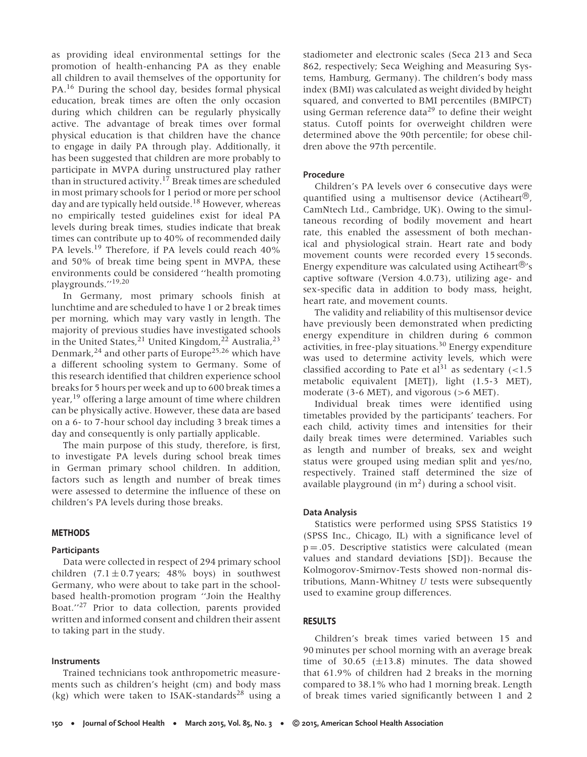as providing ideal environmental settings for the promotion of health-enhancing PA as they enable all children to avail themselves of the opportunity for PA.<sup>16</sup> During the school day, besides formal physical education, break times are often the only occasion during which children can be regularly physically active. The advantage of break times over formal physical education is that children have the chance to engage in daily PA through play. Additionally, it has been suggested that children are more probably to participate in MVPA during unstructured play rather than in structured activity.17 Break times are scheduled in most primary schools for 1 period or more per school day and are typically held outside.<sup>18</sup> However, whereas no empirically tested guidelines exist for ideal PA levels during break times, studies indicate that break times can contribute up to 40% of recommended daily PA levels.<sup>19</sup> Therefore, if PA levels could reach 40% and 50% of break time being spent in MVPA, these environments could be considered ''health promoting playgrounds.''19,20

In Germany, most primary schools finish at lunchtime and are scheduled to have 1 or 2 break times per morning, which may vary vastly in length. The majority of previous studies have investigated schools in the United States, <sup>21</sup> United Kingdom, <sup>22</sup> Australia, <sup>23</sup> Denmark,<sup>24</sup> and other parts of Europe25,26 which have a different schooling system to Germany. Some of this research identified that children experience school breaks for 5 hours per week and up to 600 break times a year,<sup>19</sup> offering a large amount of time where children can be physically active. However, these data are based on a 6- to 7-hour school day including 3 break times a day and consequently is only partially applicable.

The main purpose of this study, therefore, is first, to investigate PA levels during school break times in German primary school children. In addition, factors such as length and number of break times were assessed to determine the influence of these on children's PA levels during those breaks.

#### **METHODS**

#### **Participants**

Data were collected in respect of 294 primary school children  $(7.1 \pm 0.7 \text{ years}; 48\% \text{ boys})$  in southwest Germany, who were about to take part in the schoolbased health-promotion program ''Join the Healthy Boat.''<sup>27</sup> Prior to data collection, parents provided written and informed consent and children their assent to taking part in the study.

#### **Instruments**

Trained technicians took anthropometric measurements such as children's height (cm) and body mass (kg) which were taken to ISAK-standards<sup>28</sup> using a stadiometer and electronic scales (Seca 213 and Seca 862, respectively; Seca Weighing and Measuring Systems, Hamburg, Germany). The children's body mass index (BMI) was calculated as weight divided by height squared, and converted to BMI percentiles (BMIPCT) using German reference data<sup>29</sup> to define their weight status. Cutoff points for overweight children were determined above the 90th percentile; for obese children above the 97th percentile.

#### **Procedure**

Children's PA levels over 6 consecutive days were quantified using a multisensor device (Actiheart®, CamNtech Ltd., Cambridge, UK). Owing to the simultaneous recording of bodily movement and heart rate, this enabled the assessment of both mechanical and physiological strain. Heart rate and body movement counts were recorded every 15 seconds. Energy expenditure was calculated using Actiheart<sup>®</sup>'s captive software (Version 4.0.73), utilizing age- and sex-specific data in addition to body mass, height, heart rate, and movement counts.

The validity and reliability of this multisensor device have previously been demonstrated when predicting energy expenditure in children during 6 common activities, in free-play situations.<sup>30</sup> Energy expenditure was used to determine activity levels, which were classified according to Pate et al<sup>31</sup> as sedentary  $\left($  < 1.5 metabolic equivalent [MET]), light (1.5-3 MET), moderate (3-6 MET), and vigorous (*>*6 MET).

Individual break times were identified using timetables provided by the participants' teachers. For each child, activity times and intensities for their daily break times were determined. Variables such as length and number of breaks, sex and weight status were grouped using median split and yes/no, respectively. Trained staff determined the size of available playground (in  $m<sup>2</sup>$ ) during a school visit.

#### **Data Analysis**

Statistics were performed using SPSS Statistics 19 (SPSS Inc., Chicago, IL) with a significance level of  $p = .05$ . Descriptive statistics were calculated (mean values and standard deviations [SD]). Because the Kolmogorov-Smirnov-Tests showed non-normal distributions, Mann-Whitney *U* tests were subsequently used to examine group differences.

#### **RESULTS**

Children's break times varied between 15 and 90 minutes per school morning with an average break time of 30.65  $(\pm 13.8)$  minutes. The data showed that 61.9% of children had 2 breaks in the morning compared to 38.1% who had 1 morning break. Length of break times varied significantly between 1 and 2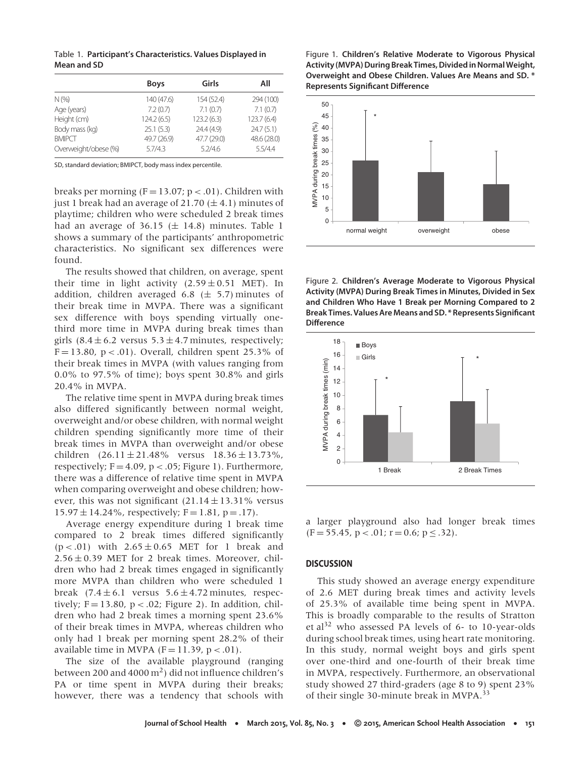Table 1. **Participant's Characteristics. Values Displayed in Mean and SD**

|                      | <b>Boys</b> | Girls       | All         |
|----------------------|-------------|-------------|-------------|
| N(%                  | 140 (47.6)  | 154 (52.4)  | 294 (100)   |
| Age (years)          | 7.2(0.7)    | 7.1(0.7)    | 7.1(0.7)    |
| Height (cm)          | 124.2(6.5)  | 123.2(6.3)  | 123.7 (6.4) |
| Body mass (kg)       | 25.1(5.3)   | 24.4 (4.9)  | 24.7(5.1)   |
| <b>BMIPCT</b>        | 49.7 (26.9) | 47.7 (29.0) | 48.6 (28.0) |
| Overweight/obese (%) | 5.7/4.3     | 5.2/4.6     | 5.5/4.4     |

SD, standard deviation; BMIPCT, body mass index percentile.

breaks per morning  $(F = 13.07; p < .01)$ . Children with just 1 break had an average of 21.70 ( $\pm$  4.1) minutes of playtime; children who were scheduled 2 break times had an average of 36.15 ( $\pm$  14.8) minutes. Table 1 shows a summary of the participants' anthropometric characteristics. No significant sex differences were found.

The results showed that children, on average, spent their time in light activity  $(2.59 \pm 0.51$  MET). In addition, children averaged 6.8 ( $\pm$  5.7) minutes of their break time in MVPA. There was a significant sex difference with boys spending virtually onethird more time in MVPA during break times than girls  $(8.4 \pm 6.2 \text{ versus } 5.3 \pm 4.7 \text{ minutes}, \text{ respectively})$ ; F = 13.80, p *<* .01). Overall, children spent 25.3% of their break times in MVPA (with values ranging from 0.0% to 97.5% of time); boys spent 30.8% and girls 20.4% in MVPA.

The relative time spent in MVPA during break times also differed significantly between normal weight, overweight and/or obese children, with normal weight children spending significantly more time of their break times in MVPA than overweight and/or obese children  $(26.11 \pm 21.48\%$  versus  $18.36 \pm 13.73\%$ , respectively;  $F = 4.09$ ,  $p < .05$ ; Figure 1). Furthermore, there was a difference of relative time spent in MVPA when comparing overweight and obese children; however, this was not significant  $(21.14 \pm 13.31\%$  versus  $15.97 \pm 14.24\%$ , respectively; F = 1.81, p = .17).

Average energy expenditure during 1 break time compared to 2 break times differed significantly  $(p < .01)$  with  $2.65 \pm 0.65$  MET for 1 break and  $2.56 \pm 0.39$  MET for 2 break times. Moreover, children who had 2 break times engaged in significantly more MVPA than children who were scheduled 1 break  $(7.4 \pm 6.1$  versus  $5.6 \pm 4.72$  minutes, respectively;  $F = 13.80$ ,  $p < .02$ ; Figure 2). In addition, children who had 2 break times a morning spent 23.6% of their break times in MVPA, whereas children who only had 1 break per morning spent 28.2% of their available time in MVPA  $(F = 11.39, p < .01)$ .

The size of the available playground (ranging between 200 and 4000  $\mathrm{m}^2$ ) did not influence children's PA or time spent in MVPA during their breaks; however, there was a tendency that schools with





Figure 2. **Children's Average Moderate to Vigorous Physical Activity (MVPA) During Break Times in Minutes, Divided in Sex and Children Who Have 1 Break per Morning Compared to 2 Break Times. Values AreMeans and SD. \* Represents Significant Difference**



a larger playground also had longer break times  $(F = 55.45, p < .01; r = 0.6; p \le .32).$ 

#### **DISCUSSION**

This study showed an average energy expenditure of 2.6 MET during break times and activity levels of 25.3% of available time being spent in MVPA. This is broadly comparable to the results of Stratton et al<sup>32</sup> who assessed PA levels of 6- to 10-year-olds during school break times, using heart rate monitoring. In this study, normal weight boys and girls spent over one-third and one-fourth of their break time in MVPA, respectively. Furthermore, an observational study showed 27 third-graders (age 8 to 9) spent 23% of their single 30-minute break in MVPA.<sup>33</sup>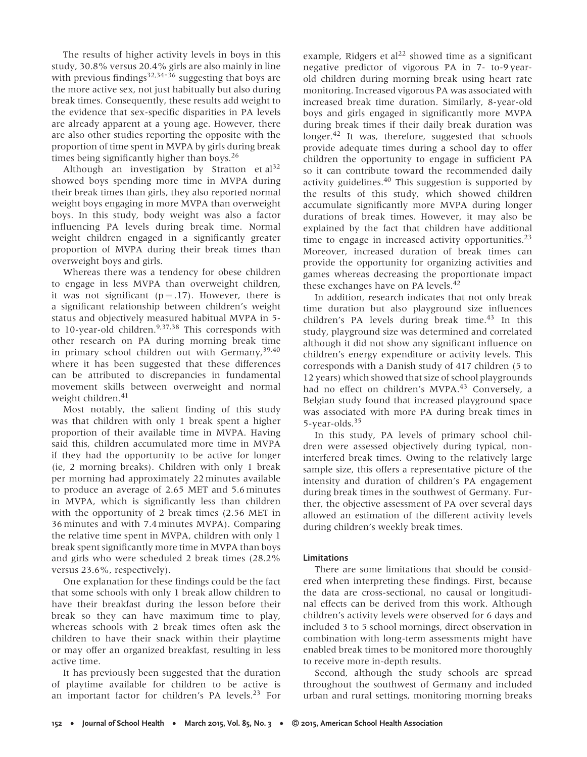The results of higher activity levels in boys in this study, 30.8% versus 20.4% girls are also mainly in line with previous findings<sup>32,34-36</sup> suggesting that boys are the more active sex, not just habitually but also during break times. Consequently, these results add weight to the evidence that sex-specific disparities in PA levels are already apparent at a young age. However, there are also other studies reporting the opposite with the proportion of time spent in MVPA by girls during break times being significantly higher than boys.<sup>26</sup>

Although an investigation by Stratton et  $al^{32}$ showed boys spending more time in MVPA during their break times than girls, they also reported normal weight boys engaging in more MVPA than overweight boys. In this study, body weight was also a factor influencing PA levels during break time. Normal weight children engaged in a significantly greater proportion of MVPA during their break times than overweight boys and girls.

Whereas there was a tendency for obese children to engage in less MVPA than overweight children, it was not significant ( $p = .17$ ). However, there is a significant relationship between children's weight status and objectively measured habitual MVPA in 5 to 10-year-old children.<sup>9,37,38</sup> This corresponds with other research on PA during morning break time in primary school children out with Germany,  $39,40$ where it has been suggested that these differences can be attributed to discrepancies in fundamental movement skills between overweight and normal weight children.<sup>41</sup>

Most notably, the salient finding of this study was that children with only 1 break spent a higher proportion of their available time in MVPA. Having said this, children accumulated more time in MVPA if they had the opportunity to be active for longer (ie, 2 morning breaks). Children with only 1 break per morning had approximately 22 minutes available to produce an average of 2.65 MET and 5.6 minutes in MVPA, which is significantly less than children with the opportunity of 2 break times (2.56 MET in 36 minutes and with 7.4 minutes MVPA). Comparing the relative time spent in MVPA, children with only 1 break spent significantly more time in MVPA than boys and girls who were scheduled 2 break times (28.2% versus 23.6%, respectively).

One explanation for these findings could be the fact that some schools with only 1 break allow children to have their breakfast during the lesson before their break so they can have maximum time to play, whereas schools with 2 break times often ask the children to have their snack within their playtime or may offer an organized breakfast, resulting in less active time.

It has previously been suggested that the duration of playtime available for children to be active is an important factor for children's PA levels.<sup>23</sup> For example, Ridgers et al<sup>22</sup> showed time as a significant negative predictor of vigorous PA in 7- to-9 yearold children during morning break using heart rate monitoring. Increased vigorous PA was associated with increased break time duration. Similarly, 8-year-old boys and girls engaged in significantly more MVPA during break times if their daily break duration was longer.<sup>42</sup> It was, therefore, suggested that schools provide adequate times during a school day to offer children the opportunity to engage in sufficient PA so it can contribute toward the recommended daily activity guidelines.<sup>40</sup> This suggestion is supported by the results of this study, which showed children accumulate significantly more MVPA during longer durations of break times. However, it may also be explained by the fact that children have additional time to engage in increased activity opportunities.<sup>23</sup> Moreover, increased duration of break times can provide the opportunity for organizing activities and games whereas decreasing the proportionate impact these exchanges have on PA levels.<sup>42</sup>

In addition, research indicates that not only break time duration but also playground size influences children's PA levels during break time. $43$  In this study, playground size was determined and correlated although it did not show any significant influence on children's energy expenditure or activity levels. This corresponds with a Danish study of 417 children (5 to 12 years) which showed that size of school playgrounds had no effect on children's MVPA.<sup>43</sup> Conversely, a Belgian study found that increased playground space was associated with more PA during break times in  $5$ -year-olds. $35$ 

In this study, PA levels of primary school children were assessed objectively during typical, noninterfered break times. Owing to the relatively large sample size, this offers a representative picture of the intensity and duration of children's PA engagement during break times in the southwest of Germany. Further, the objective assessment of PA over several days allowed an estimation of the different activity levels during children's weekly break times.

#### **Limitations**

There are some limitations that should be considered when interpreting these findings. First, because the data are cross-sectional, no causal or longitudinal effects can be derived from this work. Although children's activity levels were observed for 6 days and included 3 to 5 school mornings, direct observation in combination with long-term assessments might have enabled break times to be monitored more thoroughly to receive more in-depth results.

Second, although the study schools are spread throughout the southwest of Germany and included urban and rural settings, monitoring morning breaks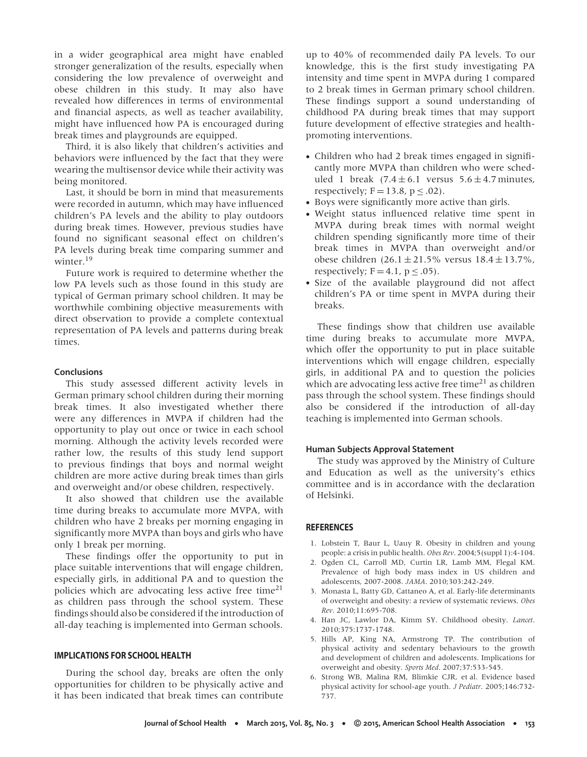in a wider geographical area might have enabled stronger generalization of the results, especially when considering the low prevalence of overweight and obese children in this study. It may also have revealed how differences in terms of environmental and financial aspects, as well as teacher availability, might have influenced how PA is encouraged during break times and playgrounds are equipped.

Third, it is also likely that children's activities and behaviors were influenced by the fact that they were wearing the multisensor device while their activity was being monitored.

Last, it should be born in mind that measurements were recorded in autumn, which may have influenced children's PA levels and the ability to play outdoors during break times. However, previous studies have found no significant seasonal effect on children's PA levels during break time comparing summer and winter.<sup>19</sup>

Future work is required to determine whether the low PA levels such as those found in this study are typical of German primary school children. It may be worthwhile combining objective measurements with direct observation to provide a complete contextual representation of PA levels and patterns during break times.

#### **Conclusions**

This study assessed different activity levels in German primary school children during their morning break times. It also investigated whether there were any differences in MVPA if children had the opportunity to play out once or twice in each school morning. Although the activity levels recorded were rather low, the results of this study lend support to previous findings that boys and normal weight children are more active during break times than girls and overweight and/or obese children, respectively.

It also showed that children use the available time during breaks to accumulate more MVPA, with children who have 2 breaks per morning engaging in significantly more MVPA than boys and girls who have only 1 break per morning.

These findings offer the opportunity to put in place suitable interventions that will engage children, especially girls, in additional PA and to question the policies which are advocating less active free time<sup>21</sup> as children pass through the school system. These findings should also be considered if the introduction of all-day teaching is implemented into German schools.

#### **IMPLICATIONS FOR SCHOOL HEALTH**

During the school day, breaks are often the only opportunities for children to be physically active and it has been indicated that break times can contribute

up to 40% of recommended daily PA levels. To our knowledge, this is the first study investigating PA intensity and time spent in MVPA during 1 compared to 2 break times in German primary school children. These findings support a sound understanding of childhood PA during break times that may support future development of effective strategies and healthpromoting interventions.

- Children who had 2 break times engaged in significantly more MVPA than children who were scheduled 1 break  $(7.4 \pm 6.1$  versus  $5.6 \pm 4.7$  minutes, respectively;  $F = 13.8$ ,  $p \le .02$ ).
- Boys were significantly more active than girls.
- Weight status influenced relative time spent in MVPA during break times with normal weight children spending significantly more time of their break times in MVPA than overweight and/or obese children (26.1 ± 21.5% versus  $18.4 \pm 13.7$ %, respectively;  $F = 4.1$ ,  $p \le .05$ ).
- Size of the available playground did not affect children's PA or time spent in MVPA during their breaks.

These findings show that children use available time during breaks to accumulate more MVPA, which offer the opportunity to put in place suitable interventions which will engage children, especially girls, in additional PA and to question the policies which are advocating less active free time $^{21}$  as children pass through the school system. These findings should also be considered if the introduction of all-day teaching is implemented into German schools.

#### **Human Subjects Approval Statement**

The study was approved by the Ministry of Culture and Education as well as the university's ethics committee and is in accordance with the declaration of Helsinki.

#### **REFERENCES**

- 1. Lobstein T, Baur L, Uauy R. Obesity in children and young people: a crisis in public health. *Obes Rev*. 2004;5(suppl 1):4-104.
- 2. Ogden CL, Carroll MD, Curtin LR, Lamb MM, Flegal KM. Prevalence of high body mass index in US children and adolescents, 2007-2008. *JAMA*. 2010;303:242-249.
- 3. Monasta L, Batty GD, Cattaneo A, et al. Early-life determinants of overweight and obesity: a review of systematic reviews. *Obes Rev*. 2010;11:695-708.
- 4. Han JC, Lawlor DA, Kimm SY. Childhood obesity. *Lancet*. 2010;375:1737-1748.
- 5. Hills AP, King NA, Armstrong TP. The contribution of physical activity and sedentary behaviours to the growth and development of children and adolescents. Implications for overweight and obesity. *Sports Med*. 2007;37:533-545.
- 6. Strong WB, Malina RM, Blimkie CJR, et al. Evidence based physical activity for school-age youth. *J Pediatr*. 2005;146:732- 737.